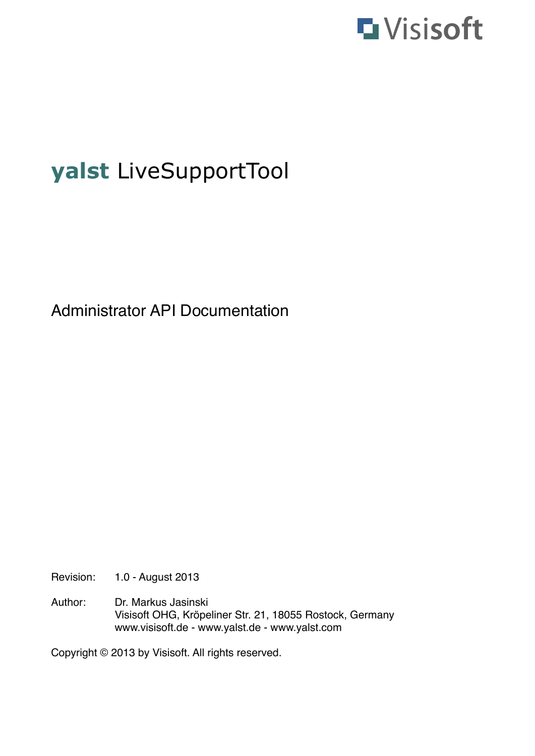

# **yalst** LiveSupportTool

Administrator API Documentation

Revision: 1.0 - August 2013

Author: Dr. Markus Jasinski ! ! Visisoft OHG, Kröpeliner Str. 21, 18055 Rostock, Germany www.visisoft.de - www.yalst.de - www.yalst.com

Copyright © 2013 by Visisoft. All rights reserved.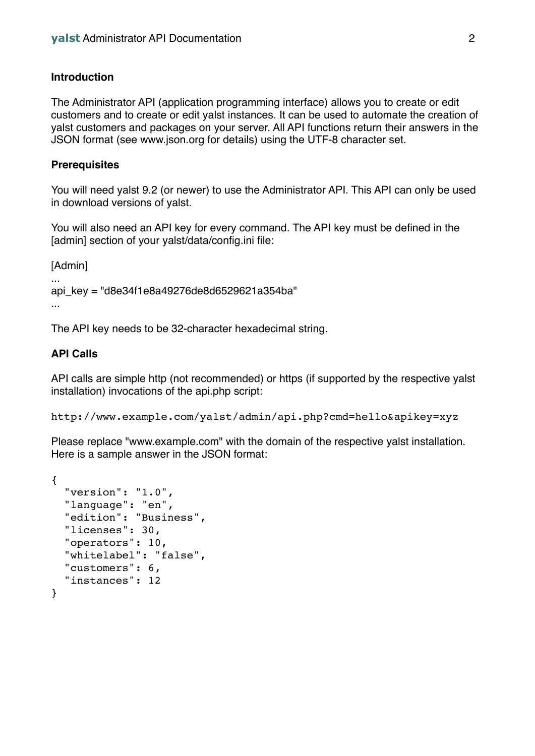## **Introduction**

The Administrator API (application programming interface) allows you to create or edit customers and to create or edit yalst instances. It can be used to automate the creation of yalst customers and packages on your server. All API functions return their answers in the JSON format (see www.json.org for details) using the UTF-8 character set.

## **Prerequisites**

You will need yalst 9.2 (or newer) to use the Administrator API. This API can only be used in download versions of yalst.

You will also need an API key for every command. The API key must be defined in the [admin] section of your yalst/data/config.ini file:

[Admin]

...

... api\_key = "d8e34f1e8a49276de8d6529621a354ba"

The API key needs to be 32-character hexadecimal string.

## **API Calls**

API calls are simple http (not recommended) or https (if supported by the respective yalst installation) invocations of the api.php script:

http://www.example.com/yalst/admin/api.php?cmd=hello&apikey=xyz

Please replace "www.example.com" with the domain of the respective yalst installation. Here is a sample answer in the JSON format:

```
{
   "version": "1.0",
   "language": "en",
   "edition": "Business",
   "licenses": 30,
   "operators": 10,
   "whitelabel": "false",
   "customers": 6,
   "instances": 12
}
```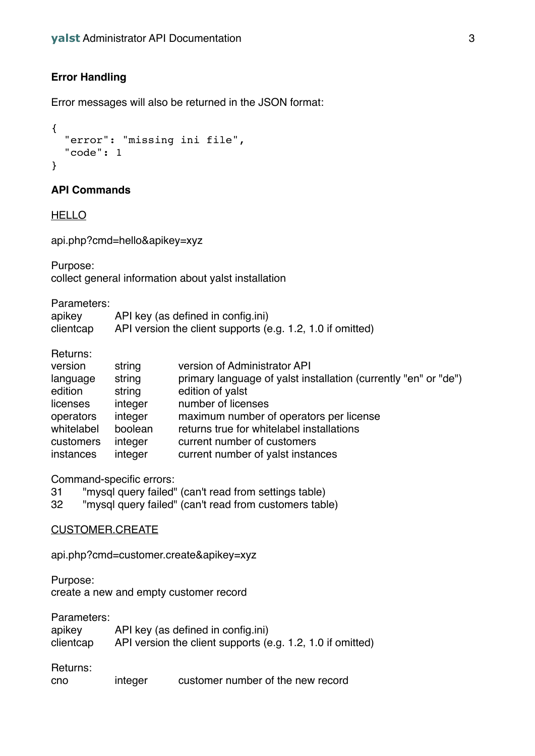# **Error Handling**

Error messages will also be returned in the JSON format:

```
{
   "error": "missing ini file",
   "code": 1
}
```
## **API Commands**

**HELLO** 

api.php?cmd=hello&apikey=xyz

Purpose: collect general information about yalst installation

Parameters:

| apikey    | API key (as defined in config.ini)                         |
|-----------|------------------------------------------------------------|
| clientcap | API version the client supports (e.g. 1.2, 1.0 if omitted) |

Returns:

| version    | string  | version of Administrator API                                    |
|------------|---------|-----------------------------------------------------------------|
| language   | string  | primary language of yalst installation (currently "en" or "de") |
| edition    | string  | edition of yalst                                                |
| licenses   | integer | number of licenses                                              |
| operators  | integer | maximum number of operators per license                         |
| whitelabel | boolean | returns true for whitelabel installations                       |
| customers  | integer | current number of customers                                     |
| instances  | integer | current number of yalst instances                               |

Command-specific errors:

31 "mysql query failed" (can't read from settings table)

32 "mysql query failed" (can't read from customers table)

#### CUSTOMER.CREATE

api.php?cmd=customer.create&apikey=xyz

Purpose:

create a new and empty customer record

Parameters:

| apikey    | API key (as defined in config.ini)                         |
|-----------|------------------------------------------------------------|
| clientcap | API version the client supports (e.g. 1.2, 1.0 if omitted) |

Returns:

|  | cno | integer | customer number of the new record |  |
|--|-----|---------|-----------------------------------|--|
|--|-----|---------|-----------------------------------|--|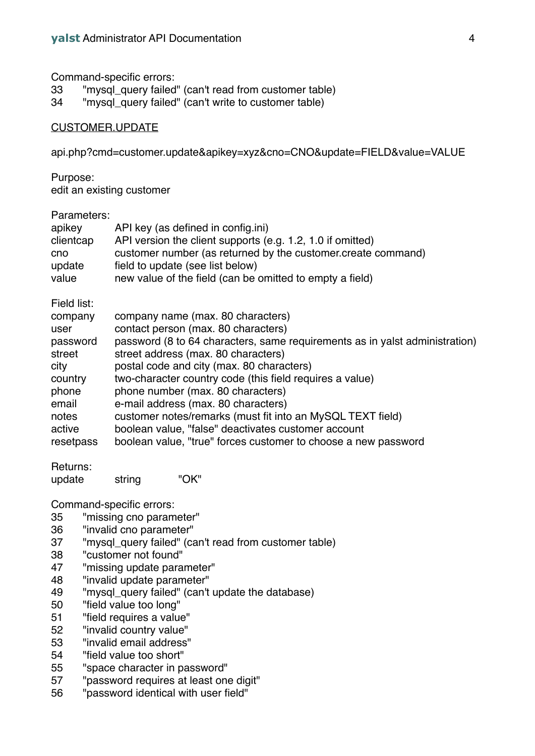Command-specific errors:

- 33 "mysql\_query failed" (can't read from customer table)
- 34 "mysql\_query failed" (can't write to customer table)

#### CUSTOMER.UPDATE

api.php?cmd=customer.update&apikey=xyz&cno=CNO&update=FIELD&value=VALUE

Purpose:

edit an existing customer

#### Parameters:

| apikey                                                       | API key (as defined in config.ini)                                                                                                                                                                                                          |
|--------------------------------------------------------------|---------------------------------------------------------------------------------------------------------------------------------------------------------------------------------------------------------------------------------------------|
| clientcap                                                    | API version the client supports (e.g. 1.2, 1.0 if omitted)                                                                                                                                                                                  |
| cno                                                          | customer number (as returned by the customer create command)                                                                                                                                                                                |
| update                                                       | field to update (see list below)                                                                                                                                                                                                            |
| value                                                        | new value of the field (can be omitted to empty a field)                                                                                                                                                                                    |
| Field list:<br>company<br>user<br>password<br>street<br>city | company name (max. 80 characters)<br>contact person (max. 80 characters)<br>password (8 to 64 characters, same requirements as in yalst administration)<br>street address (max. 80 characters)<br>postal code and city (max. 80 characters) |
| country                                                      | two-character country code (this field requires a value)                                                                                                                                                                                    |
| phone                                                        | phone number (max. 80 characters)                                                                                                                                                                                                           |
| email                                                        | e-mail address (max. 80 characters)                                                                                                                                                                                                         |
| notes                                                        | customer notes/remarks (must fit into an MySQL TEXT field)                                                                                                                                                                                  |
| active                                                       | boolean value, "false" deactivates customer account                                                                                                                                                                                         |
| resetpass                                                    | boolean value, "true" forces customer to choose a new password                                                                                                                                                                              |

Returns:

update string "OK"

Command-specific errors:

- 35 "missing cno parameter"
- 36 "invalid cno parameter"
- 37 "mysql\_query failed" (can't read from customer table)
- 38 "customer not found"
- 47 "missing update parameter"
- 48 "invalid update parameter"
- 49 "mysql\_query failed" (can't update the database)
- 50 "field value too long"
- 51 "field requires a value"
- 52 "invalid country value"
- 53 "invalid email address"<br>54 Theld value too short"
- "field value too short"
- 55 "space character in password"
- 57 "password requires at least one digit"
- 56 "password identical with user field"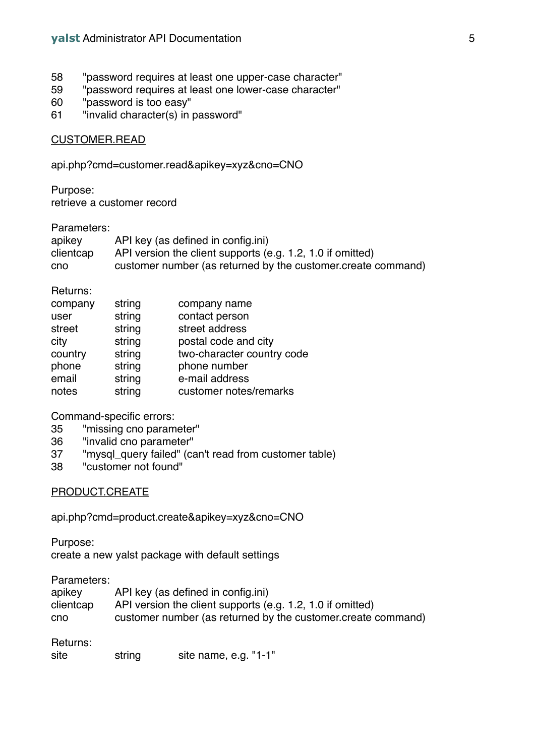- 58 "password requires at least one upper-case character"
- 59 "password requires at least one lower-case character"
- 60 "password is too easy"
- 61 "invalid character(s) in password"

## CUSTOMER.READ

api.php?cmd=customer.read&apikey=xyz&cno=CNO

Purpose: retrieve a customer record

#### Parameters:

| apikey    | API key (as defined in config.ini)                           |
|-----------|--------------------------------------------------------------|
| clientcap | API version the client supports (e.g. 1.2, 1.0 if omitted)   |
| cno       | customer number (as returned by the customer create command) |

Returns:

| string | company name               |
|--------|----------------------------|
| string | contact person             |
| string | street address             |
| string | postal code and city       |
| string | two-character country code |
| string | phone number               |
| string | e-mail address             |
| string | customer notes/remarks     |
|        |                            |

Command-specific errors:

- 35 "missing cno parameter"
- 36 "invalid cno parameter"
- 37 "mysql\_query failed" (can't read from customer table)
- 38 "customer not found"

## PRODUCT.CREATE

api.php?cmd=product.create&apikey=xyz&cno=CNO

Purpose: create a new yalst package with default settings

Parameters:

| apikey    | API key (as defined in config.ini)                           |
|-----------|--------------------------------------------------------------|
| clientcap | API version the client supports (e.g. 1.2, 1.0 if omitted)   |
| cno       | customer number (as returned by the customer create command) |

Returns:

| site | string | site name, e.g. "1-1" |  |
|------|--------|-----------------------|--|
|      |        |                       |  |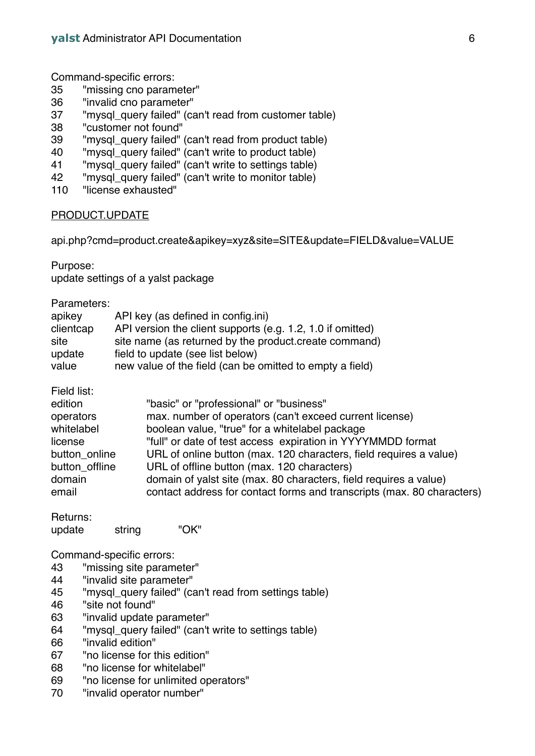Command-specific errors:

- 35 "missing cno parameter"
- 36 "invalid cno parameter"
- "mysql\_query failed" (can't read from customer table)
- 38 "customer not found"
- 39 "mysql\_query failed" (can't read from product table)
- 40 "mysql\_query failed" (can't write to product table)
- 41 "mysql\_query failed" (can't write to settings table)
- 42 "mysql\_query failed" (can't write to monitor table)
- 110 "license exhausted"

## PRODUCT.UPDATE

api.php?cmd=product.create&apikey=xyz&site=SITE&update=FIELD&value=VALUE

Purpose:

update settings of a yalst package

| Parameters: |
|-------------|
|-------------|

| apikey    | API key (as defined in config.ini)                         |
|-----------|------------------------------------------------------------|
| clientcap | API version the client supports (e.g. 1.2, 1.0 if omitted) |
| site      | site name (as returned by the product create command)      |
| update    | field to update (see list below)                           |
| value     | new value of the field (can be omitted to empty a field)   |

| "basic" or "professional" or "business"                                |
|------------------------------------------------------------------------|
| max. number of operators (can't exceed current license)                |
| boolean value, "true" for a whitelabel package                         |
| "full" or date of test access expiration in YYYYMMDD format            |
| URL of online button (max. 120 characters, field requires a value)     |
| URL of offline button (max. 120 characters)                            |
| domain of yalst site (max. 80 characters, field requires a value)      |
| contact address for contact forms and transcripts (max. 80 characters) |
|                                                                        |

| Returns: |        |      |
|----------|--------|------|
| update   | string | "OK" |

Command-specific errors:

- 43 "missing site parameter"
- 44 "invalid site parameter"
- 45 "mysql\_query failed" (can't read from settings table)
- 46 "site not found"
- 63 "invalid update parameter"
- 64 "mysql\_query failed" (can't write to settings table)
- 66 "invalid edition"
- 67 "no license for this edition"
- 68 "no license for whitelabel"
- 69 "no license for unlimited operators"<br>70 "invalid operator number"
- "invalid operator number"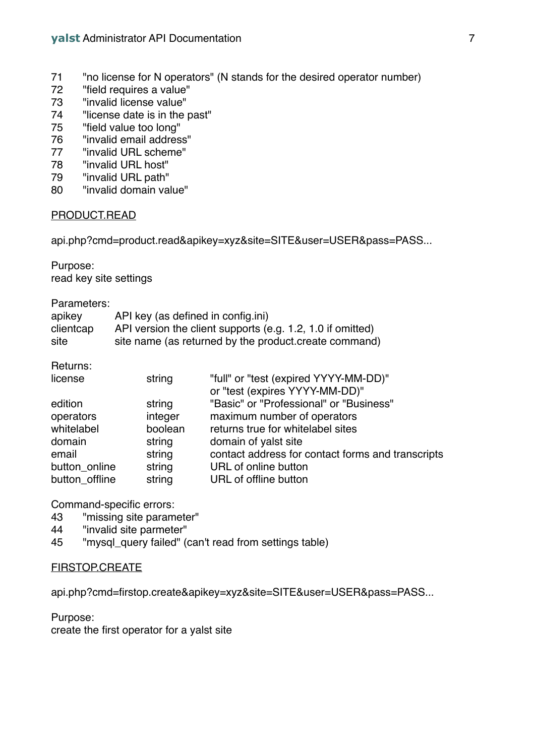- 71 "no license for N operators" (N stands for the desired operator number)
- 72 "field requires a value"
- 73 "invalid license value"<br>74 "license date is in the r
- "license date is in the past"
- 75 "field value too long"
- 76 "invalid email address"
- 77 "invalid URL scheme"
- 78 "invalid URL host"
- 79 "invalid URL path"
- 80 "invalid domain value"

## PRODUCT.READ

api.php?cmd=product.read&apikey=xyz&site=SITE&user=USER&pass=PASS...

Purpose: read key site settings

Parameters:

| apikey    | API key (as defined in config.ini)                         |
|-----------|------------------------------------------------------------|
| clientcap | API version the client supports (e.g. 1.2, 1.0 if omitted) |
| site      | site name (as returned by the product create command)      |

Returns:

| license        | string  | "full" or "test (expired YYYY-MM-DD)"             |
|----------------|---------|---------------------------------------------------|
|                |         | or "test (expires YYYY-MM-DD)"                    |
| edition        | string  | "Basic" or "Professional" or "Business"           |
| operators      | integer | maximum number of operators                       |
| whitelabel     | boolean | returns true for whitelabel sites                 |
| domain         | string  | domain of yalst site                              |
| email          | string  | contact address for contact forms and transcripts |
| button online  | string  | URL of online button                              |
| button offline | string  | URL of offline button                             |
|                |         |                                                   |

Command-specific errors:

- 43 "missing site parameter"
- 44 "invalid site parmeter"
- 45 "mysql\_query failed" (can't read from settings table)

#### FIRSTOP.CREATE

api.php?cmd=firstop.create&apikey=xyz&site=SITE&user=USER&pass=PASS...

Purpose:

create the first operator for a yalst site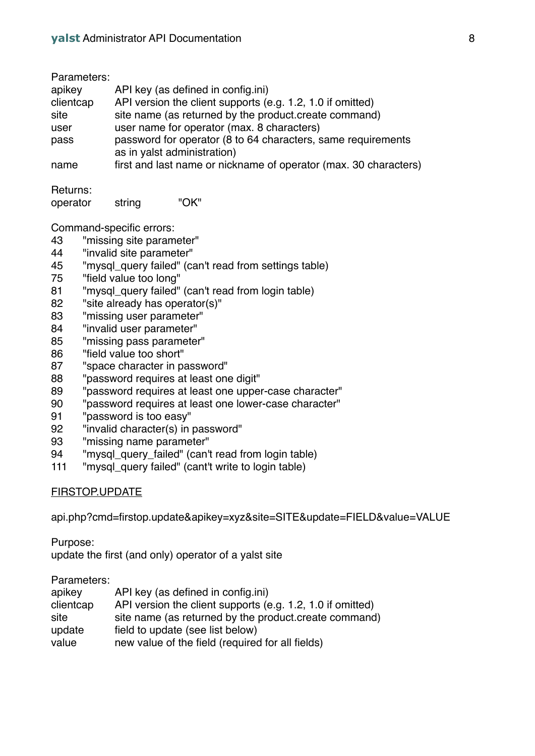| Parameters: |                                                                                             |
|-------------|---------------------------------------------------------------------------------------------|
| apikey      | API key (as defined in config.ini)                                                          |
| clientcap   | API version the client supports (e.g. 1.2, 1.0 if omitted)                                  |
| site        | site name (as returned by the product create command)                                       |
| user        | user name for operator (max. 8 characters)                                                  |
| pass        | password for operator (8 to 64 characters, same requirements<br>as in yalst administration) |
| name        | first and last name or nickname of operator (max. 30 characters)                            |

Returns:

| operator | string | "OK" |
|----------|--------|------|
|----------|--------|------|

Command-specific errors:

- 43 "missing site parameter"
- 44 "invalid site parameter"
- 45 "mysql\_query failed" (can't read from settings table)
- 75 "field value too long"
- 81 "mysql\_query failed" (can't read from login table)
- 82 "site already has operator(s)"
- 83 "missing user parameter"
- 84 "invalid user parameter"
- 85 "missing pass parameter"
- 86 "field value too short"
- 87 "space character in password"
- 88 "password requires at least one digit"
- 89 "password requires at least one upper-case character"
- 90 "password requires at least one lower-case character"
- 91 "password is too easy"
- 92 "invalid character(s) in password"
- 93 "missing name parameter"
- 94 "mysql\_query\_failed" (can't read from login table)
- 111 "mysql\_query failed" (cant't write to login table)

# FIRSTOP.UPDATE

api.php?cmd=firstop.update&apikey=xyz&site=SITE&update=FIELD&value=VALUE

Purpose:

update the first (and only) operator of a yalst site

Parameters:

| apikey    | API key (as defined in config.ini)                         |
|-----------|------------------------------------------------------------|
| clientcap | API version the client supports (e.g. 1.2, 1.0 if omitted) |
| site      | site name (as returned by the product create command)      |
| update    | field to update (see list below)                           |
| value     | new value of the field (required for all fields)           |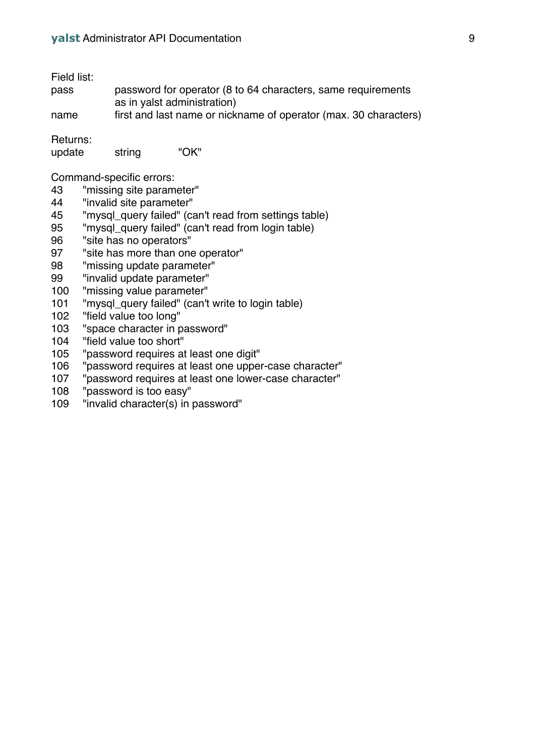Field list:

| $-1$ | final and last name an pielmance of an enater (mea). OO sharesters |
|------|--------------------------------------------------------------------|
|      | as in yalst administration)                                        |
| pass | password for operator (8 to 64 characters, same requirements       |

name first and last name or nickname of operator (max. 30 characters)

Returns:

| update | "OK"<br>string |
|--------|----------------|
|--------|----------------|

Command-specific errors:

- "missing site parameter"
- "invalid site parameter"
- "mysql\_query failed" (can't read from settings table)
- "mysql\_query failed" (can't read from login table)
- "site has no operators"
- "site has more than one operator"
- "missing update parameter"
- "invalid update parameter"
- "missing value parameter"
- "mysql\_query failed" (can't write to login table)
- "field value too long"
- 103 "space character in password"<br>104 "field value too short"
- "field value too short"
- "password requires at least one digit"
- "password requires at least one upper-case character"
- "password requires at least one lower-case character"
- "password is too easy"
- "invalid character(s) in password"